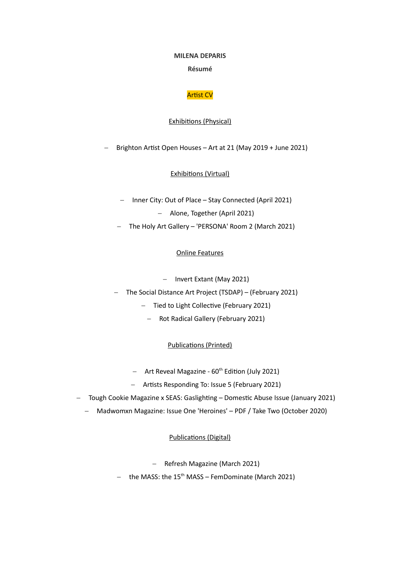#### **MILENA DEPARIS**

## **[Résumé](https://blogs.transparent.com/french/write-a-resume-in-french/)**

# Artist CV

#### Exhibitions (Physical)

Brighton Artist Open Houses – Art at 21 (May 2019 + June 2021)

Exhibitions (Virtual)

- Inner City: Out of Place Stay Connected (April 2021)
	- Alone, Together (April 2021)
- The Holy Art Gallery 'PERSONA' Room 2 (March 2021)

## Online Features

- Invert Extant (May 2021)
- The Social Distance Art Project (TSDAP) (February 2021)
	- Tied to Light Collective (February 2021)
		- Rot Radical Gallery (February 2021)

## Publications (Printed)

- $-$  Art Reveal Magazine 60<sup>th</sup> Edition (July 2021)
- Artists Responding To: Issue 5 (February 2021)
- Tough Cookie Magazine x SEAS: Gaslighting Domestic Abuse Issue (January 2021)
	- Madwomxn Magazine: Issue One 'Heroines' PDF / Take Two (October 2020)

#### Publications (Digital)

- Refresh Magazine (March 2021)
- the MASS: the  $15<sup>th</sup>$  MASS FemDominate (March 2021)